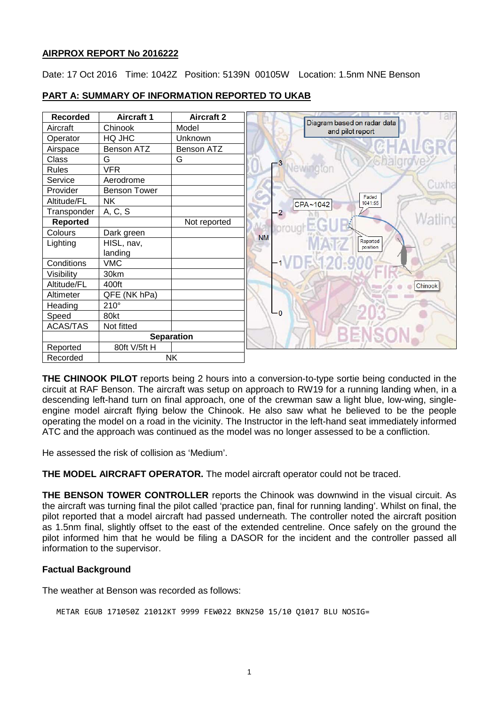## **AIRPROX REPORT No 2016222**

Date: 17 Oct 2016 Time: 1042Z Position: 5139N 00105W Location: 1.5nm NNE Benson

| <b>Recorded</b> | <b>Aircraft 1</b>   | <b>Aircraft 2</b> |                                                 |
|-----------------|---------------------|-------------------|-------------------------------------------------|
| Aircraft        | Chinook             | Model             | Diagram based on radar data<br>and pilot report |
| Operator        | HQ JHC              | Unknown           |                                                 |
| Airspace        | <b>Benson ATZ</b>   | <b>Benson ATZ</b> |                                                 |
| Class           | G                   | G                 | -3                                              |
| <b>Rules</b>    | <b>VFR</b>          |                   |                                                 |
| Service         | Aerodrome           |                   | Cuxha                                           |
| Provider        | <b>Benson Tower</b> |                   |                                                 |
| Altitude/FL     | <b>NK</b>           |                   | Faded<br>1041:55<br>CPA~1042                    |
| Transponder     | A, C, S             |                   | $\overline{2}$                                  |
| <b>Reported</b> |                     | Not reported      |                                                 |
| Colours         | Dark green          |                   | <b>NM</b>                                       |
| Lighting        | HISL, nav,          |                   | Reported<br>position                            |
|                 | landing             |                   |                                                 |
| Conditions      | <b>VMC</b>          |                   |                                                 |
| Visibility      | 30km                |                   |                                                 |
| Altitude/FL     | 400ft               |                   | Chinook                                         |
| Altimeter       | QFE (NK hPa)        |                   |                                                 |
| Heading         | $210^\circ$         |                   |                                                 |
| Speed           | 80kt                |                   | 0–ا                                             |
| <b>ACAS/TAS</b> | Not fitted          |                   |                                                 |
|                 | <b>Separation</b>   |                   |                                                 |
| Reported        | 80ft V/5ft H        |                   |                                                 |
| Recorded        | <b>NK</b>           |                   |                                                 |

# **PART A: SUMMARY OF INFORMATION REPORTED TO UKAB**

**THE CHINOOK PILOT** reports being 2 hours into a conversion-to-type sortie being conducted in the circuit at RAF Benson. The aircraft was setup on approach to RW19 for a running landing when, in a descending left-hand turn on final approach, one of the crewman saw a light blue, low-wing, singleengine model aircraft flying below the Chinook. He also saw what he believed to be the people operating the model on a road in the vicinity. The Instructor in the left-hand seat immediately informed ATC and the approach was continued as the model was no longer assessed to be a confliction.

He assessed the risk of collision as 'Medium'.

**THE MODEL AIRCRAFT OPERATOR.** The model aircraft operator could not be traced.

**THE BENSON TOWER CONTROLLER** reports the Chinook was downwind in the visual circuit. As the aircraft was turning final the pilot called 'practice pan, final for running landing'. Whilst on final, the pilot reported that a model aircraft had passed underneath. The controller noted the aircraft position as 1.5nm final, slightly offset to the east of the extended centreline. Once safely on the ground the pilot informed him that he would be filing a DASOR for the incident and the controller passed all information to the supervisor.

## **Factual Background**

The weather at Benson was recorded as follows:

METAR EGUB 171050Z 21012KT 9999 FEW022 BKN250 15/10 Q1017 BLU NOSIG=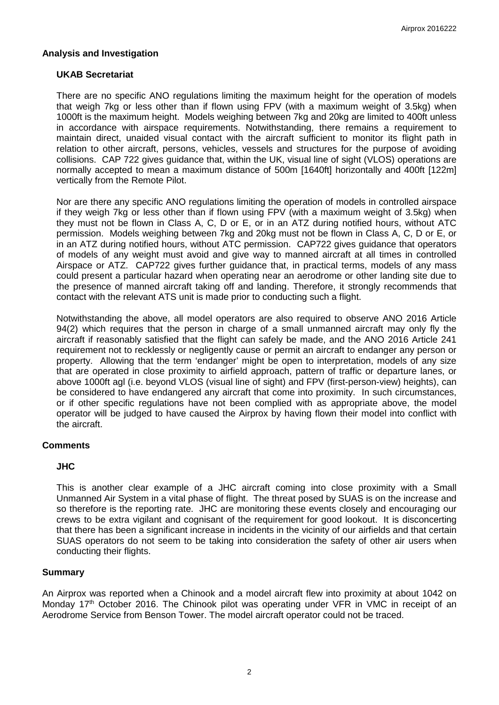### **Analysis and Investigation**

### **UKAB Secretariat**

There are no specific ANO regulations limiting the maximum height for the operation of models that weigh 7kg or less other than if flown using FPV (with a maximum weight of 3.5kg) when 1000ft is the maximum height. Models weighing between 7kg and 20kg are limited to 400ft unless in accordance with airspace requirements. Notwithstanding, there remains a requirement to maintain direct, unaided visual contact with the aircraft sufficient to monitor its flight path in relation to other aircraft, persons, vehicles, vessels and structures for the purpose of avoiding collisions. CAP 722 gives guidance that, within the UK, visual line of sight (VLOS) operations are normally accepted to mean a maximum distance of 500m [1640ft] horizontally and 400ft [122m] vertically from the Remote Pilot.

Nor are there any specific ANO regulations limiting the operation of models in controlled airspace if they weigh 7kg or less other than if flown using FPV (with a maximum weight of 3.5kg) when they must not be flown in Class A, C, D or E, or in an ATZ during notified hours, without ATC permission. Models weighing between 7kg and 20kg must not be flown in Class A, C, D or E, or in an ATZ during notified hours, without ATC permission. CAP722 gives guidance that operators of models of any weight must avoid and give way to manned aircraft at all times in controlled Airspace or ATZ. CAP722 gives further guidance that, in practical terms, models of any mass could present a particular hazard when operating near an aerodrome or other landing site due to the presence of manned aircraft taking off and landing. Therefore, it strongly recommends that contact with the relevant ATS unit is made prior to conducting such a flight.

Notwithstanding the above, all model operators are also required to observe ANO 2016 Article 94(2) which requires that the person in charge of a small unmanned aircraft may only fly the aircraft if reasonably satisfied that the flight can safely be made, and the ANO 2016 Article 241 requirement not to recklessly or negligently cause or permit an aircraft to endanger any person or property. Allowing that the term 'endanger' might be open to interpretation, models of any size that are operated in close proximity to airfield approach, pattern of traffic or departure lanes, or above 1000ft agl (i.e. beyond VLOS (visual line of sight) and FPV (first-person-view) heights), can be considered to have endangered any aircraft that come into proximity. In such circumstances, or if other specific regulations have not been complied with as appropriate above, the model operator will be judged to have caused the Airprox by having flown their model into conflict with the aircraft.

#### **Comments**

## **JHC**

This is another clear example of a JHC aircraft coming into close proximity with a Small Unmanned Air System in a vital phase of flight. The threat posed by SUAS is on the increase and so therefore is the reporting rate. JHC are monitoring these events closely and encouraging our crews to be extra vigilant and cognisant of the requirement for good lookout. It is disconcerting that there has been a significant increase in incidents in the vicinity of our airfields and that certain SUAS operators do not seem to be taking into consideration the safety of other air users when conducting their flights.

#### **Summary**

An Airprox was reported when a Chinook and a model aircraft flew into proximity at about 1042 on Monday 17<sup>th</sup> October 2016. The Chinook pilot was operating under VFR in VMC in receipt of an Aerodrome Service from Benson Tower. The model aircraft operator could not be traced.